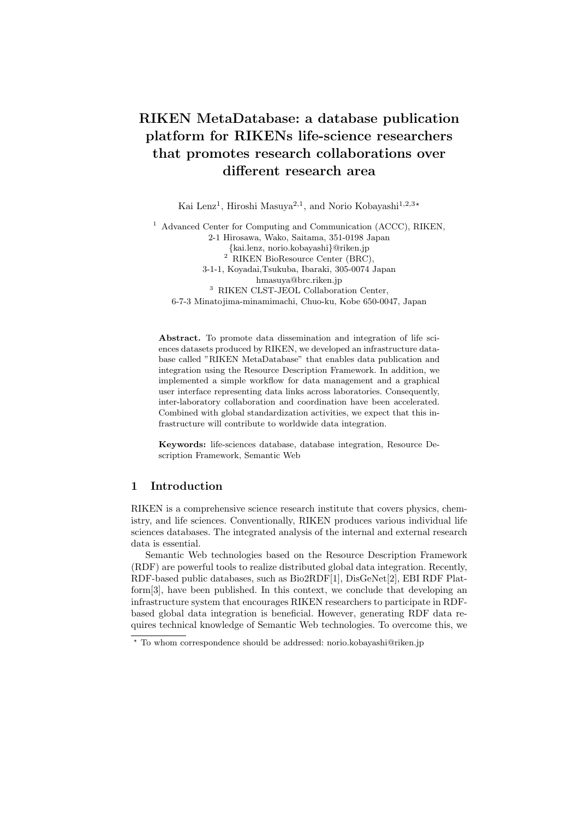# RIKEN MetaDatabase: a database publication platform for RIKENs life-science researchers that promotes research collaborations over different research area

Kai Lenz<sup>1</sup>, Hiroshi Masuya<sup>2,1</sup>, and Norio Kobayashi<sup>1,2,3</sup>\*

<sup>1</sup> Advanced Center for Computing and Communication (ACCC), RIKEN, 2-1 Hirosawa, Wako, Saitama, 351-0198 Japan {kai.lenz, norio.kobayashi}@riken.jp <sup>2</sup> RIKEN BioResource Center (BRC), 3-1-1, Koyadai,Tsukuba, Ibaraki, 305-0074 Japan hmasuya@brc.riken.jp <sup>3</sup> RIKEN CLST-JEOL Collaboration Center, 6-7-3 Minatojima-minamimachi, Chuo-ku, Kobe 650-0047, Japan

Abstract. To promote data dissemination and integration of life sciences datasets produced by RIKEN, we developed an infrastructure database called "RIKEN MetaDatabase" that enables data publication and integration using the Resource Description Framework. In addition, we implemented a simple workflow for data management and a graphical user interface representing data links across laboratories. Consequently, inter-laboratory collaboration and coordination have been accelerated. Combined with global standardization activities, we expect that this infrastructure will contribute to worldwide data integration.

Keywords: life-sciences database, database integration, Resource Description Framework, Semantic Web

# 1 Introduction

RIKEN is a comprehensive science research institute that covers physics, chemistry, and life sciences. Conventionally, RIKEN produces various individual life sciences databases. The integrated analysis of the internal and external research data is essential.

Semantic Web technologies based on the Resource Description Framework (RDF) are powerful tools to realize distributed global data integration. Recently, RDF-based public databases, such as Bio2RDF[1], DisGeNet[2], EBI RDF Platform[3], have been published. In this context, we conclude that developing an infrastructure system that encourages RIKEN researchers to participate in RDFbased global data integration is beneficial. However, generating RDF data requires technical knowledge of Semantic Web technologies. To overcome this, we

<sup>?</sup> To whom correspondence should be addressed: norio.kobayashi@riken.jp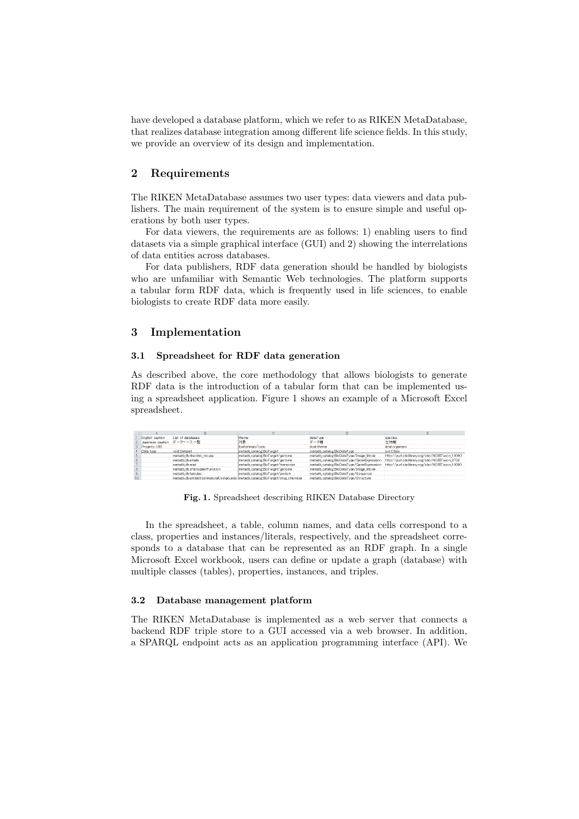have developed a database platform, which we refer to as RIKEN MetaDatabase, that realizes database integration among different life science fields. In this study, we provide an overview of its design and implementation.

## 2 Requirements

The RIKEN MetaDatabase assumes two user types: data viewers and data publishers. The main requirement of the system is to ensure simple and useful operations by both user types.

For data viewers, the requirements are as follows: 1) enabling users to find datasets via a simple graphical interface (GUI) and 2) showing the interrelations of data entities across databases.

For data publishers, RDF data generation should be handled by biologists who are unfamiliar with Semantic Web technologies. The platform supports a tabular form RDF data, which is frequently used in life sciences, to enable biologists to create RDF data more easily.

#### 3 Implementation

## 3.1 Spreadsheet for RDF data generation

As described above, the core methodology that allows biologists to generate RDF data is the introduction of a tabular form that can be implemented using a spreadsheet application. Figure 1 shows an example of a Microsoft Excel spreadsheet.

|   | English caption  | List of databases                                                              | ltheme                              | dataT vpe                                 | species                                        |
|---|------------------|--------------------------------------------------------------------------------|-------------------------------------|-------------------------------------------|------------------------------------------------|
|   | Japanese caption | データベース一覧                                                                       | 対象                                  | データ種                                      | 生物種                                            |
|   | Property URI     |                                                                                | foaf:primaryTopic                   | dcattheme                                 | dcattorganism                                  |
|   | Data type        | void:Dataset                                                                   | metadb catalog BioTarget            | metadb catalog:BioDataTvpe                | owlClass                                       |
|   |                  | metadb dbrikenbro mouse                                                        | metadb catalog:BioTarget/genome     | metadb catalog:BioDataTvoe/Image Movie    | http://purl.obolibrarv.org/obo/NCBITaxon 10090 |
|   |                  | metadb dibartade                                                               | metadb catalog:BioTarget/genome     | metadb catalog:BioDataTvoe/GeneExpression | http://purl.obolibrary.org/obo/NCBITaxon 3702  |
|   |                  | metadb dbread                                                                  | metadb catalog BioTarget/transcript | metadb.catalog:BioDataType/GeneExpression | http://purl.obolibrary.org/obo/NCBITaxon.10090 |
|   |                  | metadb db:chloroplastFunction                                                  | metadb catalog BioTarget/genome     | metadb catalog:BioDataType/Image Movie    |                                                |
| 9 |                  | metadb db:hatodas                                                              | metadb catalog@ioTarget/protein     | metadb catalog:BioDataT voe/Sequence      |                                                |
|   |                  | matarih divantibioticoMosturalCompounds matarih catalogRioTargat/drug chamical |                                     | materih natalo mRinDataTuna /Structura    |                                                |

Fig. 1. Spreadsheet describing RIKEN Database Directory

In the spreadsheet, a table, column names, and data cells correspond to a class, properties and instances/literals, respectively, and the spreadsheet corresponds to a database that can be represented as an RDF graph. In a single Microsoft Excel workbook, users can define or update a graph (database) with multiple classes (tables), properties, instances, and triples.

#### 3.2 Database management platform

The RIKEN MetaDatabase is implemented as a web server that connects a backend RDF triple store to a GUI accessed via a web browser. In addition, a SPARQL endpoint acts as an application programming interface (API). We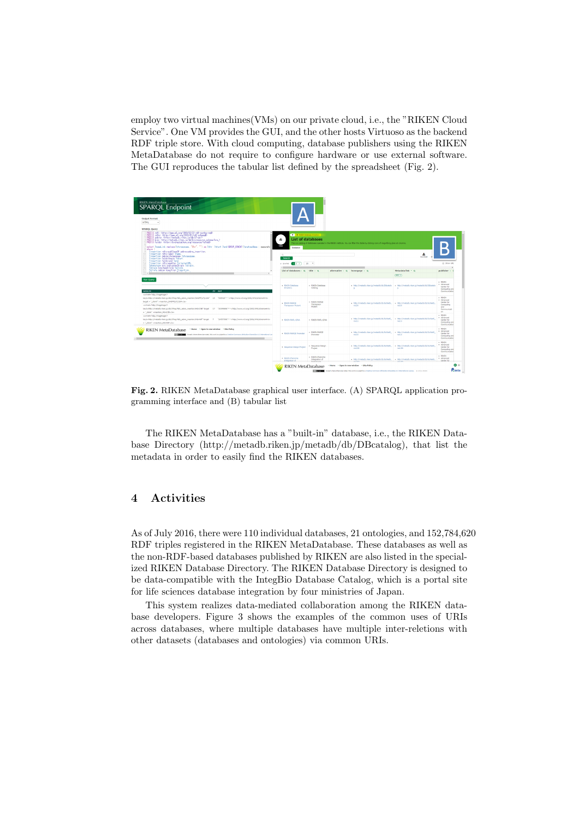employ two virtual machines(VMs) on our private cloud, i.e., the "RIKEN Cloud Service". One VM provides the GUI, and the other hosts Virtuoso as the backend RDF triple store. With cloud computing, database publishers using the RIKEN MetaDatabase do not require to configure hardware or use external software. The GUI reproduces the tabular list defined by the spreadsheet (Fig. 2).



Fig. 2. RIKEN MetaDatabase graphical user interface. (A) SPARQL application programming interface and (B) tabular list

The RIKEN MetaDatabase has a "built-in" database, i.e., the RIKEN Database Directory (http://metadb.riken.jp/metadb/db/DBcatalog), that list the metadata in order to easily find the RIKEN databases.

# 4 Activities

As of July 2016, there were 110 individual databases, 21 ontologies, and 152,784,620 RDF triples registered in the RIKEN MetaDatabase. These databases as well as the non-RDF-based databases published by RIKEN are also listed in the specialized RIKEN Database Directory. The RIKEN Database Directory is designed to be data-compatible with the IntegBio Database Catalog, which is a portal site for life sciences database integration by four ministries of Japan.

This system realizes data-mediated collaboration among the RIKEN database developers. Figure 3 shows the examples of the common uses of URIs across databases, where multiple databases have multiple inter-reletions with other datasets (databases and ontologies) via common URIs.